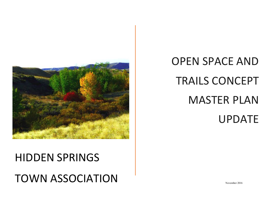

# HIDDEN SPRINGS TOWN ASSOCIATION

# OPEN SPACE AND TRAILS CONCEPT MASTER PLAN UPDATE

November 2016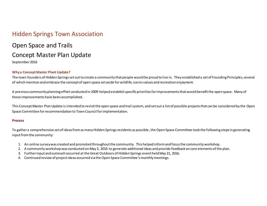# Hidden Springs Town Association

# Open Space and Trails Concept Master Plan Update

September 2016

#### **Why a Concept Master Plant Update?**

The town founders of Hidden Springs set out to create a community that people would be proud to live in. They established a set of Founding Principles, several of which mention and embrace the concept of open space set aside for wildlife, scenic values and recreation enjoyment.

A previous community planning effort conducted in 2009 helped establish specific priorities for improvements that would benefit the open space. Many of those improvements have been accomplished.

This Concept Master Plan Update is intended to revisit the open space and trail system, and set out a list of possible projects that can be considered by the Open Space Committee for recommendation to Town Council for implementation.

#### **Process**

To gather a comprehensive set of ideas from as many Hidden Springs residents as possible, the Open Space Committee took the following steps in generating input from the community:

- 1. An online survey was created and promoted throughout the community. This helped inform and focus the community workshop.
- 2. A community workshop was conducted on May 3, 2016 to generate additional ideas and provide feedback on core elements of the plan.
- 3. Further input and outreach occurred at the Great Outdoors of Hidden Springs event held May 21, 2016.
- 4. Continued review of project ideas occurred via the Open Space Committee's monthly meetings.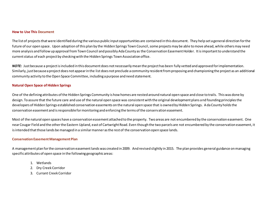#### **How to Use This Document**

The list of projects that were identified during the various public input opportunities are contained in this document. They help set a general direction for the future of our open space. Upon adoption of this plan by the Hidden Springs Town Council, some projects may be able to move ahead, while others may need more analysis and follow up approval from Town Council and possibly Ada County as the Conservation Easement Holder. It is important to understand the current status of each project by checking with the Hidden Springs Town Association office.

*NOTE:* Just because a project is included in this document does not necessarily mean the project has been fully vetted and approved for implementation. Similarly, just because a project does not appear in the list does not preclude a community resident from proposing and championing the project as an additional community activity to the Open Space Committee, including a purpose and need statement.

#### **Natural Open Space of Hidden Springs**

One of the defining attributes of the Hidden Springs Community is how homes are nested around natural open space and close to trails. This was done by design. To assure that the future care and use of the natural open space was consistent with the original development plans and founding principles the developers of Hidden Springs established conservation easements on the natural open space that is owned by Hidden Springs. Ada County holds the conservation easement and is responsible for monitoring and enforcing the terms of the conservation easement.

Most of the natural open spaces have a conservation easement attached to the property. Two areas are not encumbered by the conservation easement. One near Cougar Field and the other the Eastern Upland, east of Cartwright Road. Even though the two parcels are not encumbered by the conservation easement, it is intended that those lands be managed in a similar manner as the rest of the conservation open space lands.

#### **Conservation Easement Management Plan**

A management plan for the conservation easement lands was created in 2009. And revised slightly in 2015. The plan provides general guidance on managing specific attributes of open space in the following geographic areas:

- 1. Wetlands
- 2. Dry Creek Corridor
- 3. Currant Creek Corridor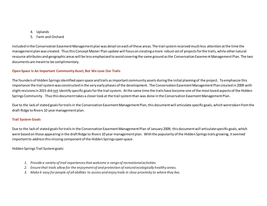- 4. Uplands
- 5. Farm and Orchard

Included in the Conservation Easement Management plan was detail on each of these areas. The trail system received much less attention at the time the management plan was created. Thus this Concept Master Plan update will focus on creating a more robust set of projects for the trails, while other natural resource attributes and geographic areas will be less emphasized to avoid covering the same ground as the Conservation Easeme nt Management Plan. The two documents are meant to be complimentary.

#### **Open Space Is An Important Community Asset, But We Love Our Trails**

The founders of Hidden Springs identified open space and trails as important community assets during the initial planning of the project. To emphasize this importance the trail system was constructed in the very early phases of the development. The Conservation Easement Management Plan created in 2009 with slight revisions in 2015 did not identify specific goals for the trail system. At the same time the trails have become one of the most loved aspects of the Hidden Springs Community. Thus this document takes a closer look at the trail system than was done in the Conservation Easement Management Plan.

Due to the lack of stated goals for trails in the Conservation Easement Management Plan, this document will articulate specific goals, which were taken from the draft Ridge to Rivers 10 year management plan.

#### **Trail System Goals**

Due to the lack of stated goals for trails in the Conservation Easement Management Plan of January 2009, this document will articulate specific goals, which were based on those appearing in the draft Ridge to Rivers 10 year management plan. With the popularity of the Hidden Springs trails growing, it seemed important to address this missing component of the Hidden Springs open space.

Hidden Springs Trail System goals:

- *1. Provide a variety of trail experiences that welcome a range of recreational activities.*
- *2. Ensure that trails allow for the enjoyment of and protection of natural ecologically healthy areas.*
- *3. Make it easy for people of all abilities to access and enjoy trails in close proximity to where they live.*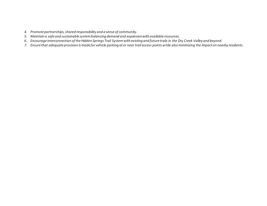- *4. Promote partnerships, shared responsibility and a sense of community.*
- *5. Maintain a safe and sustainable system balancing demand and expansion with available resources.*
- *6. Encourage interconnection of the Hidden Springs Trail System with existing and future trails in the Dry Creek Valley and beyond.*
- *7. Ensure that adequate provision is made for vehicle parking at or near trail access points while also minimizing the impact on nearby residents.*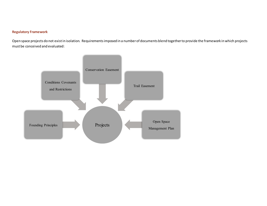#### **Regulatory Framework**

Open space projects do not exist in isolation. Requirements imposed in a number of documents blend together to provide the framework in which projects must be conceived and evaluated:

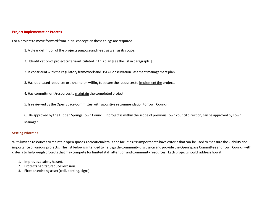#### **Project Implementation Process**

For a project to move forward from initial conception these things are required:

1. A clear definition of the projects purpose and need as well as its scope.

2. Identification of project criteria articulated in this plan [see the list in paragraph I] .

2. Is consistent with the regulatory framework and HSTA Conservation Easement management plan.

3. Has dedicated resources or a champion willing to secure the resources to implement the project.

4. Has commitment/resources to maintain the completed project.

5. Is reviewed by the Open Space Committee with a positive recommendation to Town Council.

6. Be approved by the Hidden Springs Town Council. If project is within the scope of previous Town council direction, can be approved by Town Manager.

#### **Setting Priorities**

With limited resources to maintain open spaces, recreational trails and facilities it is important to have criteria that can be used to measure the viability and importance of various projects. The list below is intended to help guide community discussion and provide the Open Space Committee and Town Council with criteria to help weigh projects that may compete for limited staff attention and community resources. Each project should address how it:

- 1. Improves a safety hazard.
- 2. Protects habitat, reduces erosion.
- 3. Fixes an existing asset(trail, parking, signs).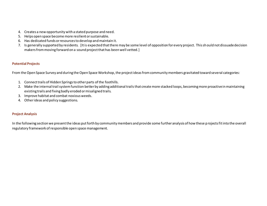- 4. Creates a new opportunity with a stated purpose and need.
- 5. Helps open space become more resilient or sustainable.
- 6. Has dedicated funds or resources to develop and maintain it.
- 7. Is generally supported by residents. [It is expected that there may be some level of opposition for every project. This should not dissuade decision makers from moving forward on a sound project that has been well vetted.]

#### **Potential Projects**

From the Open Space Survey and during the Open Space Workshop, the project ideas from community members gravitated toward several categories:

- 1. Connect trails of Hidden Springs to other parts of the foothills.
- 2. Make the internal trail system function better by adding additional trails that create more stacked loops, becoming more proactive in maintaining existing trails and fixing badly eroded or misaligned trails.
- 3. Improve habitat and combat noxious weeds.
- 4. Other ideas and policy suggestions.

#### **Project Analysis**

In the following section we present the ideas put forth by community members and provide some further analysis of how these projects fit into the overall regulatory framework of responsible open space management.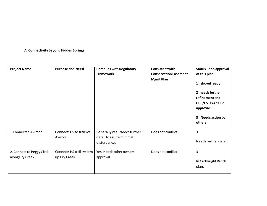#### **A. Connectivity Beyond Hidden Springs**

| <b>Project Name</b>                           | <b>Purpose and Need</b>                   | <b>Complies with Regulatory</b><br>Framework                             | <b>Consistent with</b><br><b>Conservation Easement</b><br><b>Mgmt Plan</b> | Status upon approval<br>of this plan<br>1= shovel ready<br>2=needs further<br>refinement and<br>OSC/HSTC/Ada Co<br>approval<br>3= Needs action by<br>others |
|-----------------------------------------------|-------------------------------------------|--------------------------------------------------------------------------|----------------------------------------------------------------------------|-------------------------------------------------------------------------------------------------------------------------------------------------------------|
| 1. Connect to Avimor                          | Connects HS to trails of<br>Avimor        | Generally yes. Needs further<br>detail to assure minimal<br>disturbance. | Does not conflict                                                          | $\overline{3}$<br>Needs further detail.                                                                                                                     |
| 2. Connect to Peggys Trail<br>along Dry Creek | Connects HS trail system<br>up Dry Creek. | Yes. Needs other owners<br>approval                                      | Does not conflict                                                          | 3<br>In Cartwright Ranch<br>plan.                                                                                                                           |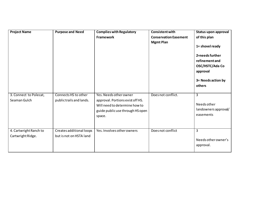| <b>Project Name</b>    | <b>Purpose and Need</b>  | <b>Complies with Regulatory</b>                                                                                 | <b>Consistent with</b>       | Status upon approval                                                                                                |
|------------------------|--------------------------|-----------------------------------------------------------------------------------------------------------------|------------------------------|---------------------------------------------------------------------------------------------------------------------|
|                        |                          | <b>Framework</b>                                                                                                | <b>Conservation Easement</b> | of this plan                                                                                                        |
|                        |                          |                                                                                                                 | <b>Mgmt Plan</b>             | 1= shovel ready<br>2=needs further<br>refinement and<br>OSC/HSTC/Ada Co<br>approval<br>3= Needs action by<br>others |
| 3. Connect to Polecat, | Connects HS to other     | Yes. Needs other owner                                                                                          | Does not conflict.           | 3                                                                                                                   |
| Seaman Gulch           | public trails and lands. | approval. Portions exist off HS.<br>Will need to determine how to<br>guide public use through HS open<br>space. |                              | Needs other<br>landowners approval/<br>easements                                                                    |
| 4. Cartwright Ranch to | Creates additional loops | Yes. Involves other owners                                                                                      | Does not conflict            | 3                                                                                                                   |
| Cartwright Ridge.      | but is not on HSTA land  |                                                                                                                 |                              | Needs other owner's<br>approval.                                                                                    |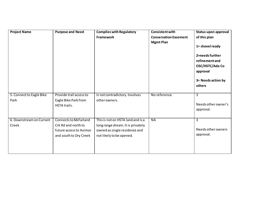| <b>Project Name</b>               | <b>Purpose and Need</b>                                                                                  | <b>Complies with Regulatory</b><br><b>Framework</b>                                                                                 | <b>Consistent with</b><br><b>Conservation Easement</b><br><b>Mgmt Plan</b> | <b>Status upon approval</b><br>of this plan<br>1= shovel ready<br>2=needs further<br>refinement and<br>OSC/HSTC/Ada Co<br>approval<br>3= Needs action by<br>others |
|-----------------------------------|----------------------------------------------------------------------------------------------------------|-------------------------------------------------------------------------------------------------------------------------------------|----------------------------------------------------------------------------|--------------------------------------------------------------------------------------------------------------------------------------------------------------------|
| 5. Connect to Eagle Bike<br>Park  | Provide trail access to<br>Eagle Bike Park from<br>HSTA trails.                                          | Is not contradictory. Involves<br>other owners.                                                                                     | No reference.                                                              | $\overline{3}$<br>Needs other owner's<br>approval.                                                                                                                 |
| 6. Downstream on Currant<br>Creek | <b>Connects to McFarland</b><br>Crk Rd and north to<br>future access to Avimor<br>and south to Dry Creek | This is not on HSTA land and is a<br>long range dream. It is privately<br>owned as single residence and<br>not likely to be opened. | <b>NA</b>                                                                  | $\overline{3}$<br>Needs other owners<br>approval.                                                                                                                  |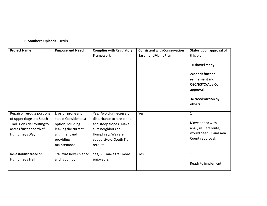#### **B. Southern Uplands - Trails**

| <b>Project Name</b>                                   | <b>Purpose and Need</b>                 | <b>Complies with Regulatory</b>             | <b>Consistent with Conservation</b> | Status upon approval of      |
|-------------------------------------------------------|-----------------------------------------|---------------------------------------------|-------------------------------------|------------------------------|
|                                                       |                                         | <b>Framework</b>                            | <b>Easement Mgmt Plan</b>           | this plan                    |
|                                                       |                                         |                                             |                                     | 1= shovel ready              |
|                                                       |                                         |                                             |                                     | 2=needs further              |
|                                                       |                                         |                                             |                                     | refinement and               |
|                                                       |                                         |                                             |                                     | OSC/HSTC/Ada Co              |
|                                                       |                                         |                                             |                                     | approval                     |
|                                                       |                                         |                                             |                                     | 3= Needs action by<br>others |
|                                                       |                                         |                                             |                                     |                              |
| Repair or reroute portions                            | Erosion prone and                       | Yes. Avoid unnecessary                      | Yes.                                | $\mathbf{1}$                 |
| of upper ridge and South                              | steep. Consider best                    | disturbance to rare plants                  |                                     | Move ahead with              |
| Trail. Consider routing to<br>access further north of | option including<br>leaving the currant | and steep slopes. Make<br>sure neighbors on |                                     | analysis. If reroute,        |
| Humprheys Way                                         | alignment and                           | Humphreys Way are                           |                                     | would need TC and Ada        |
|                                                       | providing                               | supportive of South Trail                   |                                     | County approval.             |
|                                                       | maintenance.                            | reroute.                                    |                                     |                              |
|                                                       |                                         |                                             |                                     |                              |
| Re-establish tread on                                 | Trail was never bladed                  | Yes, will make trail more                   | Yes.                                | $\mathbf{1}$                 |
| Humphreys Trail                                       | and is bumpy.                           | enjoyable.                                  |                                     | Ready to implement.          |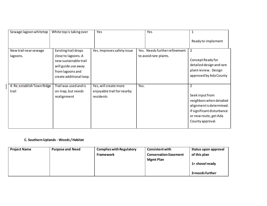| Sewage lagoon whitetop              | White top is taking over                                  | Yes                                                              | Yes                                                    | 1                                                                                                                                                                   |
|-------------------------------------|-----------------------------------------------------------|------------------------------------------------------------------|--------------------------------------------------------|---------------------------------------------------------------------------------------------------------------------------------------------------------------------|
|                                     |                                                           |                                                                  |                                                        | Ready to implement                                                                                                                                                  |
| New trail near sewage<br>lagoons.   | Existing trail drops<br>close to lagoons. A               | Yes. Improves safety issue                                       | Yes. Needs further refinement<br>to avoid rare plants. | $\overline{2}$                                                                                                                                                      |
|                                     | new sustainable trail<br>will guide use away              |                                                                  |                                                        | Concept Ready for<br>detailed design and rare                                                                                                                       |
|                                     | from lagoons and<br>create additional loop.               |                                                                  |                                                        | plant review. Design<br>approved by Ada County                                                                                                                      |
| 4. Re-establish Town Ridge<br>trail | Trail was used and is<br>on map, but needs<br>realignment | Yes, will create more<br>enjoyable trail for nearby<br>residents | Yes.                                                   | $\overline{2}$<br>Seek input from<br>neighbors when detailed<br>alignment is determined.<br>If significant disturbance<br>or new route, get Ada<br>County approval. |

## **C. Southern Uplands - Weeds / Habitat**

| <b>Project Name</b> | <b>Purpose and Need</b> | <b>Complies with Regulatory</b> | <b>Consistent with</b>       | Status upon approval |
|---------------------|-------------------------|---------------------------------|------------------------------|----------------------|
|                     |                         | <b>Framework</b>                | <b>Conservation Easement</b> | of this plan         |
|                     |                         |                                 | <b>Mgmt Plan</b>             | 1= shovel ready      |
|                     |                         |                                 |                              | 2=needs further      |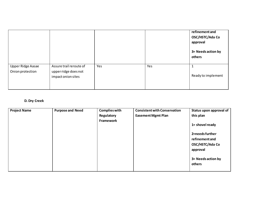|                                              |                                                                       |     |     | refinement and<br>OSC/HSTC/Ada Co<br>approval<br>3= Needs action by<br>others |
|----------------------------------------------|-----------------------------------------------------------------------|-----|-----|-------------------------------------------------------------------------------|
| <b>Upper Ridge Aasae</b><br>Onion protection | Assure trail reroute of<br>upper ridge does not<br>impact onion sites | Yes | Yes | Ready to implement                                                            |

## **D. Dry Creek**

| <b>Project Name</b> | <b>Purpose and Need</b> | <b>Complies with</b> | <b>Consistent with Conservation</b> | Status upon approval of      |
|---------------------|-------------------------|----------------------|-------------------------------------|------------------------------|
|                     |                         | Regulatory           | <b>Easement Mgmt Plan</b>           | this plan                    |
|                     |                         | Framework            |                                     | 1= shovel ready              |
|                     |                         |                      |                                     | 2=needs further              |
|                     |                         |                      |                                     | refinement and               |
|                     |                         |                      |                                     | OSC/HSTC/Ada Co<br>approval  |
|                     |                         |                      |                                     | 3= Needs action by<br>others |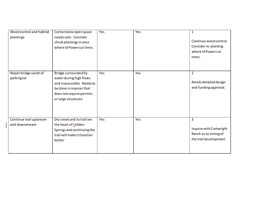| Weed control and habitat<br>plantings     | Cornerstone open space<br>needs care. Consider<br>shrub plantings in area<br>where Id Power cut trees.                                                     | Yes | Yes | $\mathbf{1}$<br>Continue weed control.<br>Consider re-planting<br>where Id Power cut<br>trees. |
|-------------------------------------------|------------------------------------------------------------------------------------------------------------------------------------------------------------|-----|-----|------------------------------------------------------------------------------------------------|
| Repair bridge south of<br>parking lot     | Bridge surrounded by<br>water during high flows<br>and inaccessible. Needs to<br>be done in manner that<br>does not require permits<br>or large structures | Yes | Yes | $\overline{2}$<br>Needs detailed design<br>and funding approval.                               |
| Continue trail upstream<br>and downstream | Dry creek and its trail are<br>the heart of Hidden<br>Springs and continuing the<br>trail will make it function<br>better                                  | Yes | Yes | 3<br>Inquire with Cartwright<br>Ranch as to timing of<br>the trail development.                |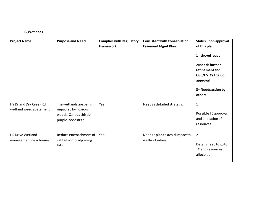### **E. Wetlands**

| <b>Project Name</b>     | <b>Purpose and Need</b>  | <b>Complies with Regulatory</b> | <b>Consistent with Conservation</b> | Status upon approval  |
|-------------------------|--------------------------|---------------------------------|-------------------------------------|-----------------------|
|                         |                          | <b>Framework</b>                | <b>Easement Mgmt Plan</b>           | of this plan          |
|                         |                          |                                 |                                     | 1= shovel ready       |
|                         |                          |                                 |                                     | 2=needs further       |
|                         |                          |                                 |                                     | refinement and        |
|                         |                          |                                 |                                     | OSC/HSTC/Ada Co       |
|                         |                          |                                 |                                     | approval              |
|                         |                          |                                 |                                     |                       |
|                         |                          |                                 |                                     | 3= Needs action by    |
|                         |                          |                                 |                                     | others                |
| HS Dr and Dry Creek Rd  | The wetlands are being   | Yes                             | Needs a detailed strategy.          | $\mathbf{1}$          |
| wetland weed abatement  | impacted by noxious      |                                 |                                     |                       |
|                         | weeds, Canada thistle,   |                                 |                                     | Possible TC approval  |
|                         | purple loosestrife.      |                                 |                                     | and allocation of     |
|                         |                          |                                 |                                     | resources             |
|                         |                          |                                 |                                     |                       |
| <b>HS Drive Wetland</b> | Reduce encroachment of   | Yes.                            | Needs a plan to avoid impact to     | $\overline{2}$        |
| management near homes   | cat tails onto adjoining |                                 | wetland values                      | Details need to go to |
|                         | lots.                    |                                 |                                     | TC and resources      |
|                         |                          |                                 |                                     | allocated             |
|                         |                          |                                 |                                     |                       |
|                         |                          |                                 |                                     |                       |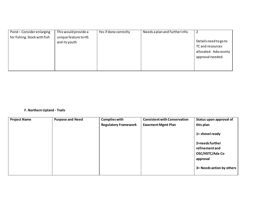| Pond - Consider enlarging    | This would provide a | Yes if done correctly | Needs a plan and further info. |                       |
|------------------------------|----------------------|-----------------------|--------------------------------|-----------------------|
| for fishing. Stock with fish | unique feature to HS |                       |                                |                       |
|                              | and its youth        |                       |                                | Details need to go to |
|                              |                      |                       |                                | TC and resources      |
|                              |                      |                       |                                | allocated. Ada county |
|                              |                      |                       |                                | approval needed.      |
|                              |                      |                       |                                |                       |
|                              |                      |                       |                                |                       |
|                              |                      |                       |                                |                       |

#### **F. Northern Upland - Trails**

| <b>Project Name</b> | <b>Purpose and Need</b> | <b>Complies with</b>        | <b>Consistent with Conservation</b> | Status upon approval of   |
|---------------------|-------------------------|-----------------------------|-------------------------------------|---------------------------|
|                     |                         | <b>Regulatory Framework</b> | <b>Easement Mgmt Plan</b>           | this plan                 |
|                     |                         |                             |                                     | 1= shovel ready           |
|                     |                         |                             |                                     | 2=needs further           |
|                     |                         |                             |                                     | refinement and            |
|                     |                         |                             |                                     | OSC/HSTC/Ada Co           |
|                     |                         |                             |                                     | approval                  |
|                     |                         |                             |                                     | 3= Needs action by others |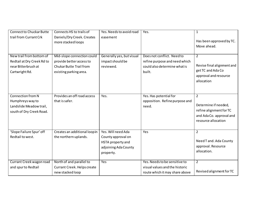| <b>Connect to Chuckar Butte</b> | Connects HS to trails of       | Yes. Needs to avoid road  | Yes.                           | $\mathbf{1}$               |
|---------------------------------|--------------------------------|---------------------------|--------------------------------|----------------------------|
| trail from Currant Crk          | Daniels/Dry Creek. Creates     | easement                  |                                |                            |
|                                 | more stacked loops             |                           |                                | Has been approved by TC.   |
|                                 |                                |                           |                                | Move ahead.                |
|                                 |                                |                           |                                |                            |
| New trail from bottom of        | Mid-slope connection could     | Generally yes, but visual | Does not conflict. Need to     | $\overline{2}$             |
| Redtail at Dry Creek Rd to      | provide better access to       | impact should be          | refine purpose and need which  |                            |
| near Bitterbrush at             | <b>Chukar Butte Trail from</b> | reviewed.                 | could also determine what is   | Revise final alignment and |
| Cartwright Rd.                  | existing parking area.         |                           | built.                         | get TC and Ada Co          |
|                                 |                                |                           |                                | approval and resource      |
|                                 |                                |                           |                                | allocation                 |
|                                 |                                |                           |                                |                            |
|                                 |                                |                           |                                |                            |
| Connection from N               | Provides an off road access    | Yes.                      | Yes. Has potential for         | $\overline{2}$             |
| Humphreys way to                | that is safer.                 |                           | opposition. Refine purpose and | Determine if needed,       |
| Landslide Meadow trail,         |                                |                           | need.                          |                            |
| south of Dry Creek Road.        |                                |                           |                                | refine alignment for TC    |
|                                 |                                |                           |                                | and AdaCo. approval and    |
|                                 |                                |                           |                                | resource allocation        |
|                                 |                                |                           |                                |                            |
| 'Slope Failure Spur' off        | Creates an additional loop in  | Yes. Will need Ada        | Yes                            | $\overline{2}$             |
| Redtail to west.                | the northern uplands.          | County approval on        |                                |                            |
|                                 |                                | HSTA property and         |                                | Need T and. Ada County     |
|                                 |                                | adjoining Ada County      |                                | approval. Resource         |
|                                 |                                | property.                 |                                | allocation.                |
|                                 |                                |                           |                                |                            |
| Currant Creek wagon road        | North of and parallel to       | Yes                       | Yes. Needs to be sensitive to  | $\overline{2}$             |
| and spurto Redtail              | Currant Creek. Helps create    |                           | visual values and the historic |                            |
|                                 | new stacked loop               |                           | route which it may share above | Revised alignment for TC   |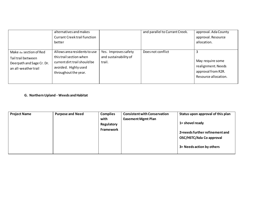|                                                                                                    | alternatives and makes<br><b>Currant Creek trail function</b><br>better                                                                 |                                                         | and parallel to Currant Creek. | approval. Ada County<br>approval. Resource<br>allocation.                            |
|----------------------------------------------------------------------------------------------------|-----------------------------------------------------------------------------------------------------------------------------------------|---------------------------------------------------------|--------------------------------|--------------------------------------------------------------------------------------|
| Make the section of Red<br>Tail trail between<br>Deerpath and Sage Cr. Dr.<br>an all-weather trail | Allows area residents to use<br>this trail section when<br>current dirt trail should be<br>avoided. Highly used<br>throughout the year. | Yes. Improves safety<br>and sustainability of<br>trail. | Does not conflict              | May require some<br>realignment. Needs<br>approval from R2R.<br>Resource allocation. |

#### **G. Northern Upland - Weeds and Habitat**

| <b>Project Name</b> | <b>Purpose and Need</b> | <b>Complies</b> | <b>Consistent with Conservation</b> | Status upon approval of this plan |
|---------------------|-------------------------|-----------------|-------------------------------------|-----------------------------------|
|                     |                         | with            | <b>Easement Mgmt Plan</b>           |                                   |
|                     |                         | Regulatory      |                                     | 1= shovel ready                   |
|                     |                         | Framework       |                                     | 2=needs further refinement and    |
|                     |                         |                 |                                     |                                   |
|                     |                         |                 |                                     | OSC/HSTC/Ada Co approval          |
|                     |                         |                 |                                     |                                   |
|                     |                         |                 |                                     | 3= Needs action by others         |
|                     |                         |                 |                                     |                                   |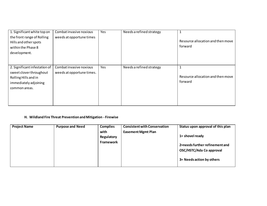| 1. Significant white top on   | Combat invasive noxious   | Yes | Needs a refined strategy |                                   |
|-------------------------------|---------------------------|-----|--------------------------|-----------------------------------|
| the front range of Rolling    | weeds at opportune times  |     |                          |                                   |
| Hills and other spots         |                           |     |                          | Resource allocation and then move |
| within the Phase 8            |                           |     |                          | forward                           |
| development.                  |                           |     |                          |                                   |
|                               |                           |     |                          |                                   |
|                               |                           |     |                          |                                   |
| 2. Significant infestation of | Combat invasive noxious   | Yes | Needs a refined strategy | 1                                 |
| sweet clover throughout       | weeds at opportune times. |     |                          |                                   |
| Rolling Hills and in          |                           |     |                          | Resource allocation and then move |
| immediately adjoining         |                           |     |                          | forward                           |
| common areas.                 |                           |     |                          |                                   |
|                               |                           |     |                          |                                   |
|                               |                           |     |                          |                                   |
|                               |                           |     |                          |                                   |

## **H. Wildland Fire Threat Prevention and Mitigation - Firewise**

| <b>Project Name</b> | <b>Purpose and Need</b> | <b>Complies</b> | <b>Consistent with Conservation</b> | Status upon approval of this plan                          |
|---------------------|-------------------------|-----------------|-------------------------------------|------------------------------------------------------------|
|                     |                         | with            | <b>Easement Mgmt Plan</b>           |                                                            |
|                     |                         | Regulatory      |                                     | 1= shovel ready                                            |
|                     |                         | Framework       |                                     | 2=needs further refinement and<br>OSC/HSTC/Ada Co approval |
|                     |                         |                 |                                     |                                                            |
|                     |                         |                 |                                     | 3= Needs action by others                                  |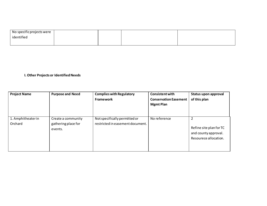| No specific projects were |  |  |
|---------------------------|--|--|
| identified                |  |  |
|                           |  |  |

#### **I. Other Projects or Identified Needs**

| <b>Project Name</b>          | <b>Purpose and Need</b>                              | <b>Complies with Regulatory</b><br><b>Framework</b>               | <b>Consistent with</b><br><b>Conservation Easement</b><br><b>Mgmt Plan</b> | Status upon approval<br>of this plan                                          |
|------------------------------|------------------------------------------------------|-------------------------------------------------------------------|----------------------------------------------------------------------------|-------------------------------------------------------------------------------|
| 1. Amphitheaterin<br>Orchard | Create a community<br>gathering place for<br>events. | Not specifically permitted or<br>restricted in easement document. | No reference                                                               | 2<br>Refine site plan for TC<br>and county approval.<br>Resourece allocation. |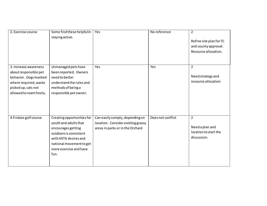| 2. Exercise course      | Some find these helpful in | Yes                                | No reference      | $\overline{2}$          |
|-------------------------|----------------------------|------------------------------------|-------------------|-------------------------|
|                         | staying active.            |                                    |                   | Refine site plan for TC |
|                         |                            |                                    |                   | and county approval.    |
|                         |                            |                                    |                   | Resource allocation.    |
|                         |                            |                                    |                   |                         |
|                         |                            |                                    |                   |                         |
| 3. Increase awareness   | Unmanaged pets have        | Yes                                | Yes               | $\overline{2}$          |
| about responsible pet   | been reported. Owners      |                                    |                   | Need strategy and       |
| behavior. Dogs leashed  | need to better             |                                    |                   | resource allocation     |
| where required, waste   | understand the rules and   |                                    |                   |                         |
| picked up, cats not     | methods of being a         |                                    |                   |                         |
| allowed to roam freely. | responsible pet owner.     |                                    |                   |                         |
|                         |                            |                                    |                   |                         |
|                         |                            |                                    |                   |                         |
|                         |                            |                                    |                   |                         |
|                         |                            |                                    | Does not conflict | $\overline{2}$          |
| 4. Frisbee golf course  | Creating opportunities for | Can easily comply, depending on    |                   |                         |
|                         | youth and adults that      | location. Consider existing grassy |                   | Need a plan and         |
|                         | encourages getting         | areas in parks or in the Orchard   |                   | location to start the   |
|                         | outdoors is consistent     |                                    |                   | discussion.             |
|                         | with HSTA desires and      |                                    |                   |                         |
|                         | national movement to get   |                                    |                   |                         |
|                         | more exercise and have     |                                    |                   |                         |
|                         | fun.                       |                                    |                   |                         |
|                         |                            |                                    |                   |                         |
|                         |                            |                                    |                   |                         |